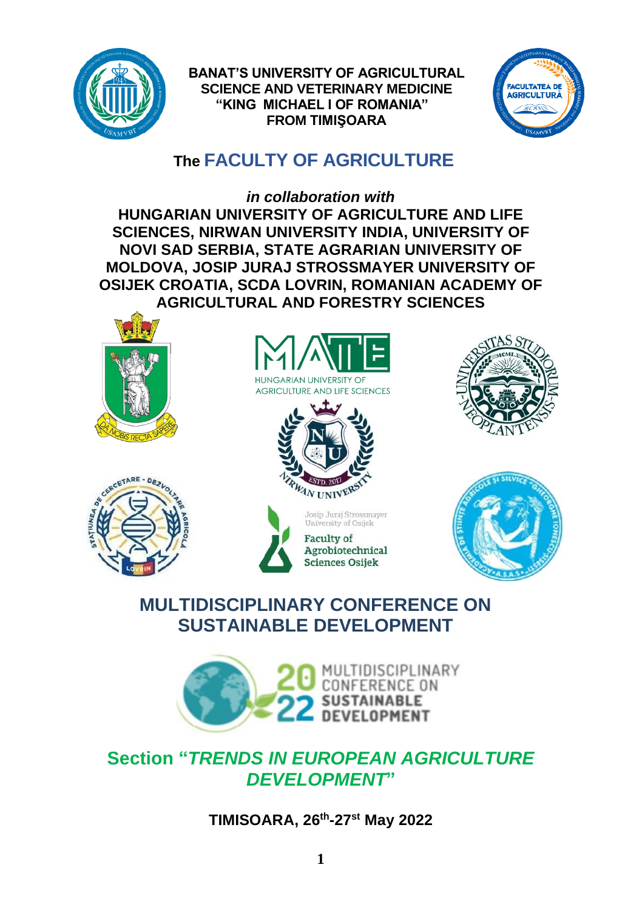

**BANAT'S UNIVERSITY OF AGRICULTURAL SCIENCE AND VETERINARY MEDICINE "KING MICHAEL I OF ROMANIA" FROM TIMIŞOARA**



# **The FACULTY OF AGRICULTURE**

*in collaboration with* **HUNGARIAN UNIVERSITY OF AGRICULTURE AND LIFE SCIENCES, NIRWAN UNIVERSITY INDIA, UNIVERSITY OF NOVI SAD SERBIA, STATE AGRARIAN UNIVERSITY OF MOLDOVA, JOSIP JURAJ STROSSMAYER UNIVERSITY OF OSIJEK CROATIA, SCDA LOVRIN, ROMANIAN ACADEMY OF AGRICULTURAL AND FORESTRY SCIENCES**















# **MULTIDISCIPLINARY CONFERENCE ON SUSTAINABLE DEVELOPMENT**



# **Section "***TRENDS IN EUROPEAN AGRICULTURE DEVELOPMENT***"**

**TIMISOARA, 26 th -27 st May 2022**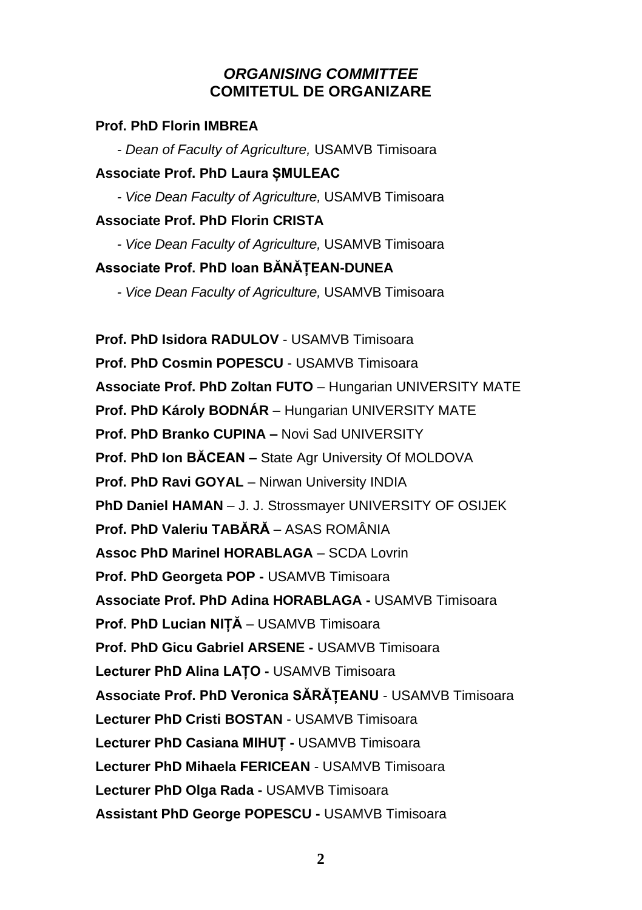## *ORGANISING COMMITTEE* **COMITETUL DE ORGANIZARE**

#### **Prof. PhD Florin IMBREA**

*- Dean of Faculty of Agriculture,* USAMVB Timisoara **Associate Prof. PhD Laura ȘMULEAC**

*- Vice Dean Faculty of Agriculture,* USAMVB Timisoara

#### **Associate Prof. PhD Florin CRISTA**

*- Vice Dean Faculty of Agriculture,* USAMVB Timisoara **Associate Prof. PhD Ioan BĂNĂȚEAN-DUNEA**

*- Vice Dean Faculty of Agriculture,* USAMVB Timisoara

**[Prof. PhD Isidora](javascript:openRTWindow() RADULOV** - USAMVB Timisoara **[Prof. PhD Cosmin](javascript:openRTWindow() POPESCU** - USAMVB Timisoara **Associate Prof. PhD Zoltan FUTO** – Hungarian UNIVERSITY MATE **Prof. PhD Károly BODNÁR** – Hungarian UNIVERSITY MATE **Prof. PhD Branko CUPINA –** Novi Sad UNIVERSITY **Prof. PhD Ion BĂCEAN –** State Agr University Of MOLDOVA **Prof. PhD Ravi GOYAL** – Nirwan University INDIA **PhD Daniel HAMAN** – J. J. Strossmayer UNIVERSITY OF OSIJEK **Prof. PhD Valeriu TABĂRĂ** – ASAS ROMÂNIA **Assoc PhD Marinel HORABLAGA** – SCDA Lovrin **Prof. PhD Georgeta POP -** USAMVB Timisoara **[Associate Prof. PhD Adina](javascript:openRTWindow() HORABLAGA -** USAMVB Timisoara **Prof. PhD Lucian NIȚĂ** – USAMVB Timisoara **[Prof. PhD Gicu](javascript:openRTWindow() Gabriel ARSENE -** USAMVB Timisoara **[Lecturer PhD Alina LAȚO](javascript:openRTWindow() -** USAMVB Timisoara **Associate Prof. PhD Veronica SĂRĂȚEANU** - USAMVB Timisoara **[Lecturer PhD Cristi](javascript:openRTWindow() BOSTAN** - USAMVB Timisoara **Lecturer [PhD Casiana](javascript:openRTWindow() MIHUȚ -** USAMVB Timisoara **Lecturer PhD Mihaela FERICEAN** - USAMVB Timisoara **[Lecturer PhD Olga](javascript:openRTWindow() Rada -** USAMVB Timisoara **Assistant PhD George POPESCU -** USAMVB Timisoara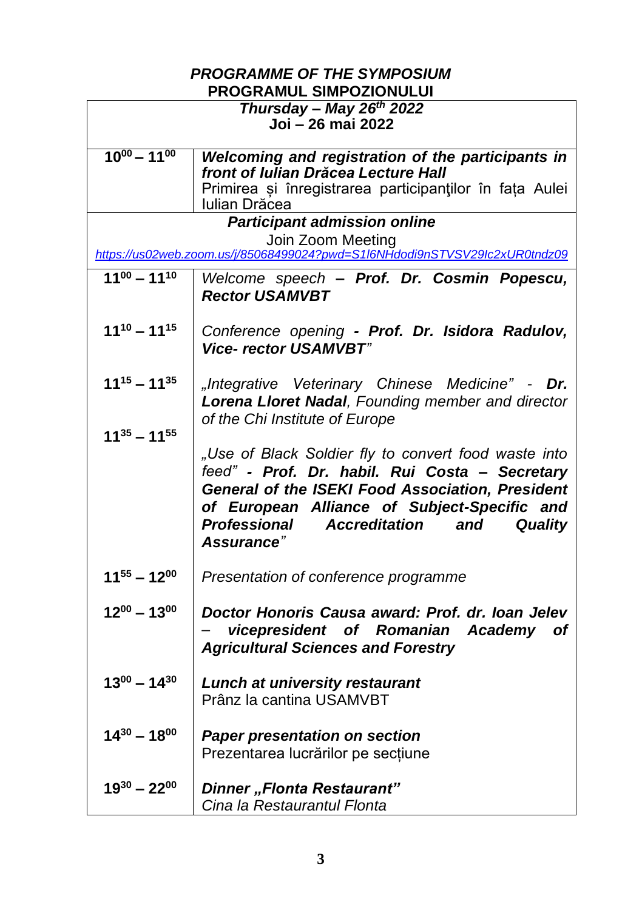#### *PROGRAMME OF THE SYMPOSIUM* **PROGRAMUL SIMPOZIONULUI**

| יית ישריו                                                                                       |                                                                                          |
|-------------------------------------------------------------------------------------------------|------------------------------------------------------------------------------------------|
| Thursday - May 26 <sup>th</sup> 2022                                                            |                                                                                          |
| Joi – 26 mai 2022                                                                               |                                                                                          |
| $10^{00} - 11^{00}$                                                                             |                                                                                          |
|                                                                                                 | Welcoming and registration of the participants in<br>front of Iulian Drăcea Lecture Hall |
|                                                                                                 |                                                                                          |
|                                                                                                 | Primirea și înregistrarea participanților în fața Aulei<br>Iulian Drăcea                 |
|                                                                                                 |                                                                                          |
| <b>Participant admission online</b>                                                             |                                                                                          |
| Join Zoom Meeting<br>https://us02web.zoom.us/j/85068499024?pwd=S1l6NHdodi9nSTVSV29lc2xUR0tndz09 |                                                                                          |
|                                                                                                 |                                                                                          |
| $11^{00} - 11^{10}$                                                                             | Welcome speech - Prof. Dr. Cosmin Popescu,                                               |
|                                                                                                 | <b>Rector USAMVBT</b>                                                                    |
|                                                                                                 |                                                                                          |
| $11^{10} - 11^{15}$                                                                             | Conference opening - Prof. Dr. Isidora Radulov,                                          |
|                                                                                                 | <b>Vice- rector USAMVBT"</b>                                                             |
|                                                                                                 |                                                                                          |
| $11^{15} - 11^{35}$                                                                             | "Integrative Veterinary Chinese Medicine" -<br>Dr.                                       |
|                                                                                                 | Lorena Lloret Nadal, Founding member and director                                        |
|                                                                                                 |                                                                                          |
| $11^{35} - 11^{55}$                                                                             | of the Chi Institute of Europe                                                           |
|                                                                                                 |                                                                                          |
|                                                                                                 | "Use of Black Soldier fly to convert food waste into                                     |
|                                                                                                 | feed" - Prof. Dr. habil. Rui Costa - Secretary                                           |
|                                                                                                 | General of the ISEKI Food Association, President                                         |
|                                                                                                 | of European Alliance of Subject-Specific and                                             |
|                                                                                                 | Professional<br><b>Accreditation</b><br><b>Quality</b><br>and                            |
|                                                                                                 | Assurance"                                                                               |
|                                                                                                 |                                                                                          |
| $11^{55} - 12^{00}$                                                                             | Presentation of conference programme                                                     |
|                                                                                                 |                                                                                          |
| $12^{00} - 13^{00}$                                                                             | Doctor Honoris Causa award: Prof. dr. Ioan Jelev                                         |
|                                                                                                 | vicepresident of Romanian Academy<br>of                                                  |
|                                                                                                 | <b>Agricultural Sciences and Forestry</b>                                                |
|                                                                                                 |                                                                                          |
| $13^{00} - 14^{30}$                                                                             |                                                                                          |
|                                                                                                 | <b>Lunch at university restaurant</b>                                                    |
|                                                                                                 | Prânz la cantina USAMVBT                                                                 |
|                                                                                                 |                                                                                          |
| $14^{30} - 18^{00}$                                                                             | <b>Paper presentation on section</b>                                                     |
|                                                                                                 | Prezentarea lucrărilor pe secțiune                                                       |
|                                                                                                 |                                                                                          |
| $19^{30} - 22^{00}$                                                                             | Dinner "Flonta Restaurant"                                                               |
|                                                                                                 | Cina la Restaurantul Flonta                                                              |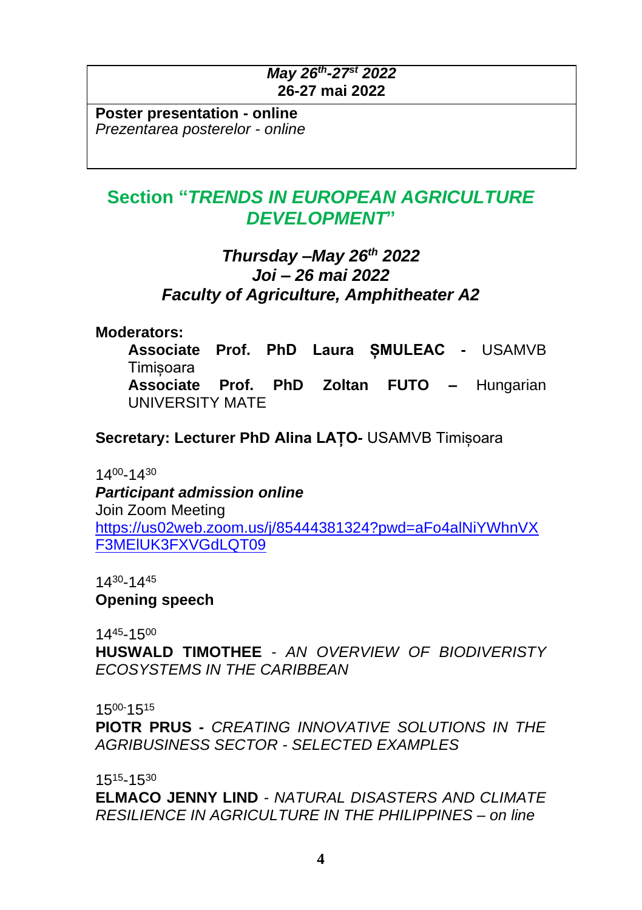## *May 26 th -27 st 2022* **26-27 mai 2022**

**Poster presentation - online** *Prezentarea posterelor - online*

# **Section "***TRENDS IN EUROPEAN AGRICULTURE DEVELOPMENT***"**

## *Thursday –May 26 th 2022 Joi – 26 mai 2022 Faculty of Agriculture, Amphitheater A2*

**Moderators:**

**Associate Prof. PhD Laura ȘMULEAC -** USAMVB **Timisoara Associate Prof. PhD Zoltan FUTO –** Hungarian UNIVERSITY MATE

**Secretary: Lecturer PhD Alina LAȚO-** USAMVB Timișoara

1400-1430

*Participant admission online* Join Zoom Meeting [https://us02web.zoom.us/j/85444381324?pwd=aFo4alNiYWhnVX](https://us02web.zoom.us/j/85444381324?pwd=aFo4alNiYWhnVXF3MElUK3FXVGdLQT09) [F3MElUK3FXVGdLQT09](https://us02web.zoom.us/j/85444381324?pwd=aFo4alNiYWhnVXF3MElUK3FXVGdLQT09)

1430-1445

**Opening speech**

14 <sup>45</sup>-15 00

**HUSWALD TIMOTHEE** - *AN OVERVIEW OF BIODIVERISTY ECOSYSTEMS IN THE CARIBBEAN*

15<sup>00-</sup>15<sup>15</sup>

**PIOTR PRUS -** *CREATING INNOVATIVE SOLUTIONS IN THE AGRIBUSINESS SECTOR - SELECTED EXAMPLES*

15<sup>15</sup>-15<sup>30</sup>

**ELMACO JENNY LIND** *- NATURAL DISASTERS AND CLIMATE RESILIENCE IN AGRICULTURE IN THE PHILIPPINES – on line*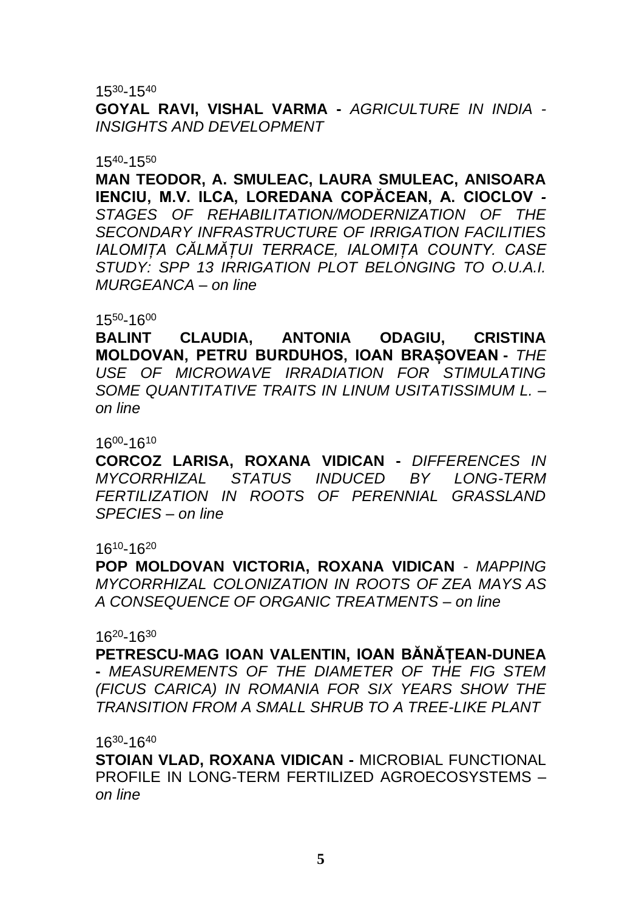15 <sup>30</sup>-15 40

**GOYAL RAVI, VISHAL VARMA -** *AGRICULTURE IN INDIA - INSIGHTS AND DEVELOPMENT*

### $15^{40} - 15^{50}$

**MAN TEODOR, A. SMULEAC, LAURA SMULEAC, ANISOARA IENCIU, M.V. ILCA, LOREDANA COPĂCEAN, A. CIOCLOV** *- STAGES OF REHABILITATION/MODERNIZATION OF THE SECONDARY INFRASTRUCTURE OF IRRIGATION FACILITIES IALOMIȚA CĂLMĂȚUI TERRACE, IALOMIȚA COUNTY. CASE STUDY: SPP 13 IRRIGATION PLOT BELONGING TO O.U.A.I. MURGEANCA – on line*

### 15 <sup>50</sup>-16 00

**BALINT CLAUDIA, ANTONIA ODAGIU, CRISTINA MOLDOVAN, PETRU BURDUHOS, IOAN BRAȘOVEAN -** *THE USE OF MICROWAVE IRRADIATION FOR STIMULATING SOME QUANTITATIVE TRAITS IN LINUM USITATISSIMUM L. – on line*

16 <sup>00</sup>-16 10

**CORCOZ LARISA, ROXANA VIDICAN -** *DIFFERENCES IN MYCORRHIZAL STATUS INDUCED BY LONG-TERM FERTILIZATION IN ROOTS OF PERENNIAL GRASSLAND SPECIES – on line*

### 16 <sup>10</sup>-16 20

**POP MOLDOVAN VICTORIA, ROXANA VIDICAN** *- MAPPING MYCORRHIZAL COLONIZATION IN ROOTS OF ZEA MAYS AS A CONSEQUENCE OF ORGANIC TREATMENTS – on line*

### 16 <sup>20</sup>-16 30

**PETRESCU-MAG IOAN VALENTIN, IOAN BĂNĂȚEAN-DUNEA -** *MEASUREMENTS OF THE DIAMETER OF THE FIG STEM (FICUS CARICA) IN ROMANIA FOR SIX YEARS SHOW THE TRANSITION FROM A SMALL SHRUB TO A TREE-LIKE PLANT*

16 <sup>30</sup>-16 40

**STOIAN VLAD, ROXANA VIDICAN -** MICROBIAL FUNCTIONAL PROFILE IN LONG-TERM FERTILIZED AGROECOSYSTEMS – *on line*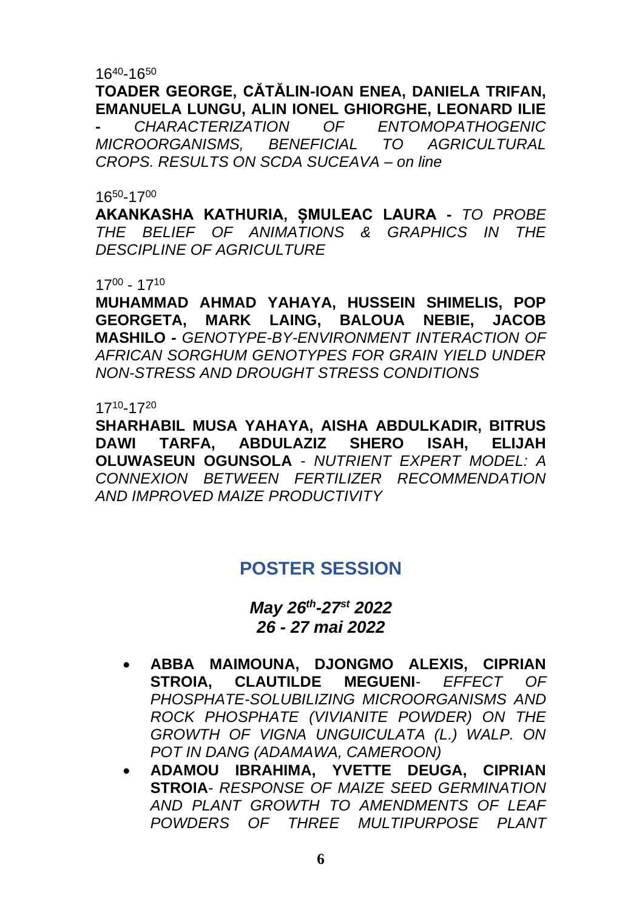16 <sup>40</sup>-16<sup>50</sup>

## **TOADER GEORGE, CĂTĂLIN-IOAN ENEA, DANIELA TRIFAN, EMANUELA LUNGU, ALIN IONEL GHIORGHE, LEONARD ILIE**

**-** *CHARACTERIZATION OF ENTOMOPATHOGENIC MICROORGANISMS, BENEFICIAL TO AGRICULTURAL CROPS. RESULTS ON SCDA SUCEAVA – on line*

### 16<sup>50</sup>-17 00

**AKANKASHA KATHURIA, ȘMULEAC LAURA -** *TO PROBE THE BELIEF OF ANIMATIONS & GRAPHICS IN THE DESCIPLINE OF AGRICULTURE*

17 00 - 17 10

**MUHAMMAD AHMAD YAHAYA, HUSSEIN SHIMELIS, POP GEORGETA, MARK LAING, BALOUA NEBIE, JACOB MASHILO -** *GENOTYPE-BY-ENVIRONMENT INTERACTION OF AFRICAN SORGHUM GENOTYPES FOR GRAIN YIELD UNDER NON-STRESS AND DROUGHT STRESS CONDITIONS*

17 10 -17 20

**SHARHABIL MUSA YAHAYA, AISHA ABDULKADIR, BITRUS DAWI TARFA, ABDULAZIZ SHERO ISAH, ELIJAH OLUWASEUN OGUNSOLA** - *NUTRIENT EXPERT MODEL: A CONNEXION BETWEEN FERTILIZER RECOMMENDATION AND IMPROVED MAIZE PRODUCTIVITY*

# **POSTER SESSION**

*May 26 th -27 st 2022 26 - 27 mai 2022*

- **ABBA MAIMOUNA, DJONGMO ALEXIS, CIPRIAN STROIA, CLAUTILDE MEGUENI***- EFFECT OF PHOSPHATE-SOLUBILIZING MICROORGANISMS AND ROCK PHOSPHATE (VIVIANITE POWDER) ON THE GROWTH OF VIGNA UNGUICULATA (L.) WALP. ON POT IN DANG (ADAMAWA, CAMEROON)*
- **ADAMOU IBRAHIMA, YVETTE DEUGA, CIPRIAN STROIA***- RESPONSE OF MAIZE SEED GERMINATION AND PLANT GROWTH TO AMENDMENTS OF LEAF POWDERS OF THREE MULTIPURPOSE PLANT*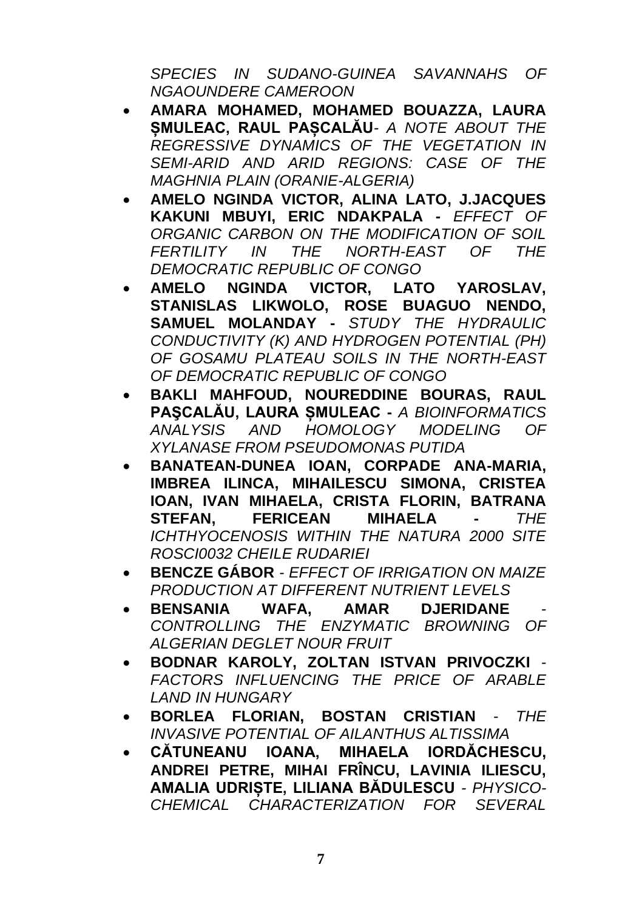*SPECIES IN SUDANO-GUINEA SAVANNAHS OF NGAOUNDERE CAMEROON*

- **AMARA MOHAMED, MOHAMED BOUAZZA, LAURA ȘMULEAC, RAUL PAȘCALĂU***- A NOTE ABOUT THE REGRESSIVE DYNAMICS OF THE VEGETATION IN SEMI-ARID AND ARID REGIONS: CASE OF THE MAGHNIA PLAIN (ORANIE-ALGERIA)*
- **AMELO NGINDA VICTOR, ALINA LATO, J.JACQUES KAKUNI MBUYI, ERIC NDAKPALA -** *EFFECT OF ORGANIC CARBON ON THE MODIFICATION OF SOIL FERTILITY IN THE NORTH-EAST OF THE DEMOCRATIC REPUBLIC OF CONGO*
- **AMELO NGINDA VICTOR, LATO YAROSLAV, STANISLAS LIKWOLO, ROSE BUAGUO NENDO, SAMUEL MOLANDAY -** *STUDY THE HYDRAULIC CONDUCTIVITY (K) AND HYDROGEN POTENTIAL (PH) OF GOSAMU PLATEAU SOILS IN THE NORTH-EAST OF DEMOCRATIC REPUBLIC OF CONGO*
- **BAKLI MAHFOUD, NOUREDDINE BOURAS, RAUL PAŞCALĂU, LAURA ȘMULEAC -** *A BIOINFORMATICS ANALYSIS AND HOMOLOGY MODELING OF XYLANASE FROM PSEUDOMONAS PUTIDA*
- **BANATEAN-DUNEA IOAN, CORPADE ANA-MARIA, IMBREA ILINCA, MIHAILESCU SIMONA, CRISTEA IOAN, IVAN MIHAELA, CRISTA FLORIN, BATRANA STEFAN, FERICEAN MIHAELA -** *THE ICHTHYOCENOSIS WITHIN THE NATURA 2000 SITE ROSCI0032 CHEILE RUDARIEI*
- **BENCZE GÁBOR** *- EFFECT OF IRRIGATION ON MAIZE PRODUCTION AT DIFFERENT NUTRIENT LEVELS*
- **BENSANIA WAFA, AMAR DJERIDANE** *- CONTROLLING THE ENZYMATIC BROWNING OF ALGERIAN DEGLET NOUR FRUIT*
- **BODNAR KAROLY, ZOLTAN ISTVAN PRIVOCZKI** *- FACTORS INFLUENCING THE PRICE OF ARABLE LAND IN HUNGARY*
- **BORLEA FLORIAN, BOSTAN CRISTIAN** *- THE INVASIVE POTENTIAL OF AILANTHUS ALTISSIMA*
- **CĂTUNEANU IOANA, MIHAELA IORDĂCHESCU, ANDREI PETRE, MIHAI FRÎNCU, LAVINIA ILIESCU, AMALIA UDRIȘTE, LILIANA BĂDULESCU** *- PHYSICO-CHEMICAL CHARACTERIZATION FOR SEVERAL*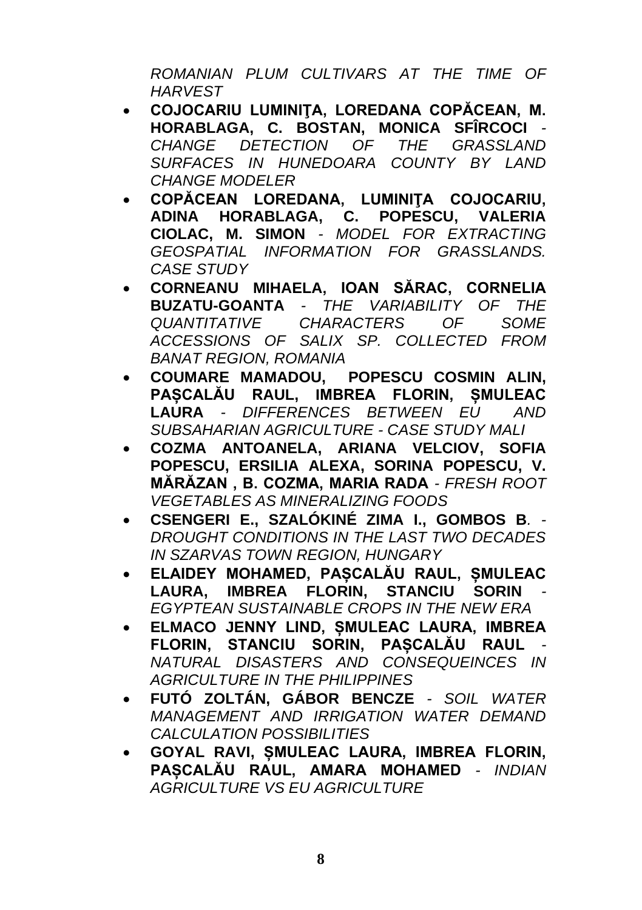*ROMANIAN PLUM CULTIVARS AT THE TIME OF HARVEST*

- **COJOCARIU LUMINIŢA, LOREDANA COPĂCEAN, M. HORABLAGA, C. BOSTAN, MONICA SFÎRCOCI** *- CHANGE DETECTION OF THE GRASSLAND SURFACES IN HUNEDOARA COUNTY BY LAND CHANGE MODELER*
- **COPĂCEAN LOREDANA, LUMINIŢA COJOCARIU, ADINA HORABLAGA, C. POPESCU, VALERIA CIOLAC, M. SIMON** *- MODEL FOR EXTRACTING GEOSPATIAL INFORMATION FOR GRASSLANDS. CASE STUDY*
- **CORNEANU MIHAELA, IOAN SĂRAC, CORNELIA BUZATU-GOANTA** *- THE VARIABILITY OF THE QUANTITATIVE CHARACTERS OF SOME ACCESSIONS OF SALIX SP. COLLECTED FROM BANAT REGION, ROMANIA*
- **COUMARE MAMADOU, POPESCU COSMIN ALIN, PAȘCALĂU RAUL, IMBREA FLORIN, ȘMULEAC LAURA** *- DIFFERENCES BETWEEN EU AND SUBSAHARIAN AGRICULTURE - CASE STUDY MALI*
- **COZMA ANTOANELA, ARIANA VELCIOV, SOFIA POPESCU, ERSILIA ALEXA, SORINA POPESCU, V. MĂRĂZAN , B. COZMA, MARIA RADA** *- FRESH ROOT VEGETABLES AS MINERALIZING FOODS*
- **CSENGERI E., SZALÓKINÉ ZIMA I., GOMBOS B***. - DROUGHT CONDITIONS IN THE LAST TWO DECADES IN SZARVAS TOWN REGION, HUNGARY*
- **ELAIDEY MOHAMED, PAȘCALĂU RAUL, ȘMULEAC LAURA, IMBREA FLORIN, STANCIU SORIN** *- EGYPTEAN SUSTAINABLE CROPS IN THE NEW ERA*
- **ELMACO JENNY LIND, ȘMULEAC LAURA, IMBREA FLORIN, STANCIU SORIN, PAȘCALĂU RAUL** *- NATURAL DISASTERS AND CONSEQUEINCES IN AGRICULTURE IN THE PHILIPPINES*
- **FUTÓ ZOLTÁN, GÁBOR BENCZE** *- SOIL WATER MANAGEMENT AND IRRIGATION WATER DEMAND CALCULATION POSSIBILITIES*
- **GOYAL RAVI, ȘMULEAC LAURA, IMBREA FLORIN, PAȘCALĂU RAUL, AMARA MOHAMED** *- INDIAN AGRICULTURE VS EU AGRICULTURE*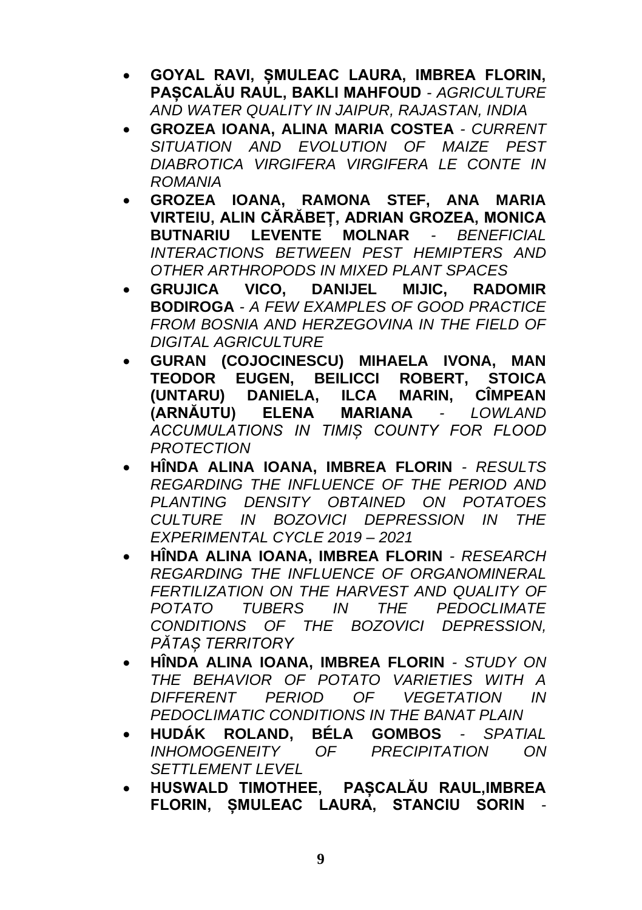- **GOYAL RAVI, ȘMULEAC LAURA, IMBREA FLORIN, PAȘCALĂU RAUL, BAKLI MAHFOUD** *- AGRICULTURE AND WATER QUALITY IN JAIPUR, RAJASTAN, INDIA*
- **GROZEA IOANA, ALINA MARIA COSTEA** *- CURRENT SITUATION AND EVOLUTION OF MAIZE PEST DIABROTICA VIRGIFERA VIRGIFERA LE CONTE IN ROMANIA*
- **GROZEA IOANA, RAMONA STEF, ANA MARIA VIRTEIU, ALIN CĂRĂBEȚ, ADRIAN GROZEA, MONICA BUTNARIU LEVENTE MOLNAR** *- BENEFICIAL INTERACTIONS BETWEEN PEST HEMIPTERS AND OTHER ARTHROPODS IN MIXED PLANT SPACES*
- **GRUJICA VICO, DANIJEL MIJIC, RADOMIR BODIROGA** *- A FEW EXAMPLES OF GOOD PRACTICE FROM BOSNIA AND HERZEGOVINA IN THE FIELD OF DIGITAL AGRICULTURE*
- **GURAN (COJOCINESCU) MIHAELA IVONA, MAN TEODOR EUGEN, BEILICCI ROBERT, STOICA (UNTARU) DANIELA, ILCA MARIN, CÎMPEAN (ARNĂUTU) ELENA MARIANA** *- LOWLAND ACCUMULATIONS IN TIMIȘ COUNTY FOR FLOOD PROTECTION*
- **HÎNDA ALINA IOANA, IMBREA FLORIN** *- RESULTS REGARDING THE INFLUENCE OF THE PERIOD AND PLANTING DENSITY OBTAINED ON POTATOES CULTURE IN BOZOVICI DEPRESSION IN THE EXPERIMENTAL CYCLE 2019 – 2021*
- **HÎNDA ALINA IOANA, IMBREA FLORIN** *- RESEARCH REGARDING THE INFLUENCE OF ORGANOMINERAL FERTILIZATION ON THE HARVEST AND QUALITY OF POTATO TUBERS IN THE PEDOCLIMATE CONDITIONS OF THE BOZOVICI DEPRESSION, PĂTAȘ TERRITORY*
- **HÎNDA ALINA IOANA, IMBREA FLORIN** *- STUDY ON THE BEHAVIOR OF POTATO VARIETIES WITH A DIFFERENT PERIOD OF VEGETATION IN PEDOCLIMATIC CONDITIONS IN THE BANAT PLAIN*
- **HUDÁK ROLAND, BÉLA GOMBOS** *- SPATIAL INHOMOGENEITY OF PRECIPITATION ON SETTLEMENT LEVEL*
- **HUSWALD TIMOTHEE, PAȘCALĂU RAUL,IMBREA FLORIN, ȘMULEAC LAURA, STANCIU SORIN** *-*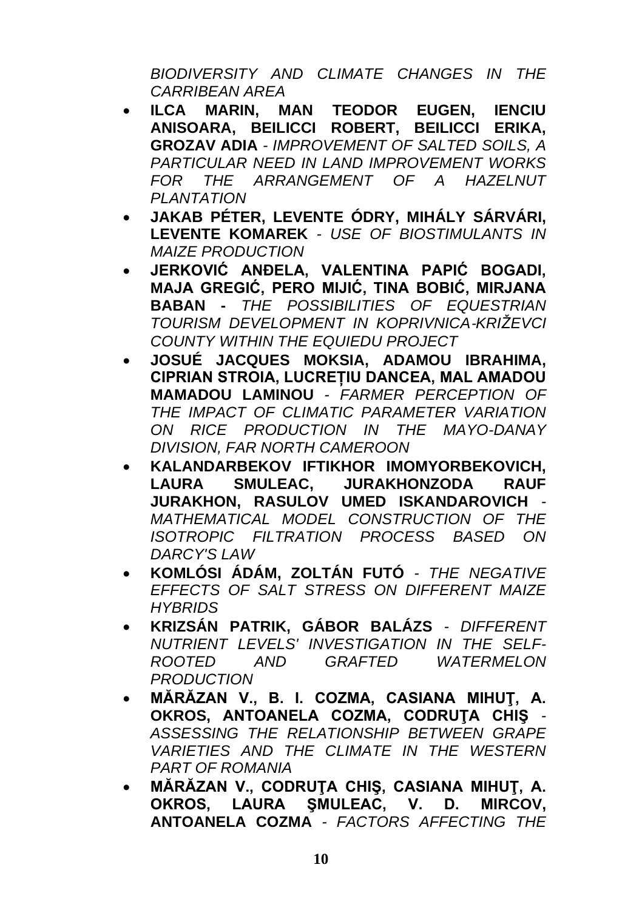*BIODIVERSITY AND CLIMATE CHANGES IN THE CARRIBEAN AREA*

- **ILCA MARIN, MAN TEODOR EUGEN, IENCIU ANISOARA, BEILICCI ROBERT, BEILICCI ERIKA, GROZAV ADIA** *- IMPROVEMENT OF SALTED SOILS, A PARTICULAR NEED IN LAND IMPROVEMENT WORKS FOR THE ARRANGEMENT OF A HAZELNUT PLANTATION*
- **JAKAB PÉTER, LEVENTE ÓDRY, MIHÁLY SÁRVÁRI, LEVENTE KOMAREK** *- USE OF BIOSTIMULANTS IN MAIZE PRODUCTION*
- **JERKOVIĆ ANĐELA, VALENTINA PAPIĆ BOGADI, MAJA GREGIĆ, PERO MIJIĆ, TINA BOBIĆ, MIRJANA BABAN -** *THE POSSIBILITIES OF EQUESTRIAN TOURISM DEVELOPMENT IN KOPRIVNICA*‐*KRIŽEVCI COUNTY WITHIN THE EQUIEDU PROJECT*
- **JOSUÉ JACQUES MOKSIA, ADAMOU IBRAHIMA, CIPRIAN STROIA, LUCREȚIU DANCEA, MAL AMADOU MAMADOU LAMINOU** *- FARMER PERCEPTION OF THE IMPACT OF CLIMATIC PARAMETER VARIATION ON RICE PRODUCTION IN THE MAYO-DANAY DIVISION, FAR NORTH CAMEROON*
- **KALANDARBEKOV IFTIKHOR IMOMYORBEKOVICH, LAURA SMULEAC, JURAKHONZODA RAUF JURAKHON, RASULOV UMED ISKANDAROVICH** *- MATHEMATICAL MODEL CONSTRUCTION OF THE ISOTROPIC FILTRATION PROCESS BASED ON DARCY'S LAW*
- **KOMLÓSI ÁDÁM, ZOLTÁN FUTÓ** *- THE NEGATIVE EFFECTS OF SALT STRESS ON DIFFERENT MAIZE HYBRIDS*
- **KRIZSÁN PATRIK, GÁBOR BALÁZS** *- DIFFERENT NUTRIENT LEVELS' INVESTIGATION IN THE SELF-ROOTED AND GRAFTED WATERMELON PRODUCTION*
- **MĂRĂZAN V., B. I. COZMA, CASIANA MIHUŢ, A. OKROS, ANTOANELA COZMA, CODRUŢA CHIŞ** *- ASSESSING THE RELATIONSHIP BETWEEN GRAPE VARIETIES AND THE CLIMATE IN THE WESTERN PART OF ROMANIA*
- **MĂRĂZAN V., CODRUŢA CHIŞ, CASIANA MIHUŢ, A. OKROS, LAURA ŞMULEAC, V. D. MIRCOV, ANTOANELA COZMA** *- FACTORS AFFECTING THE*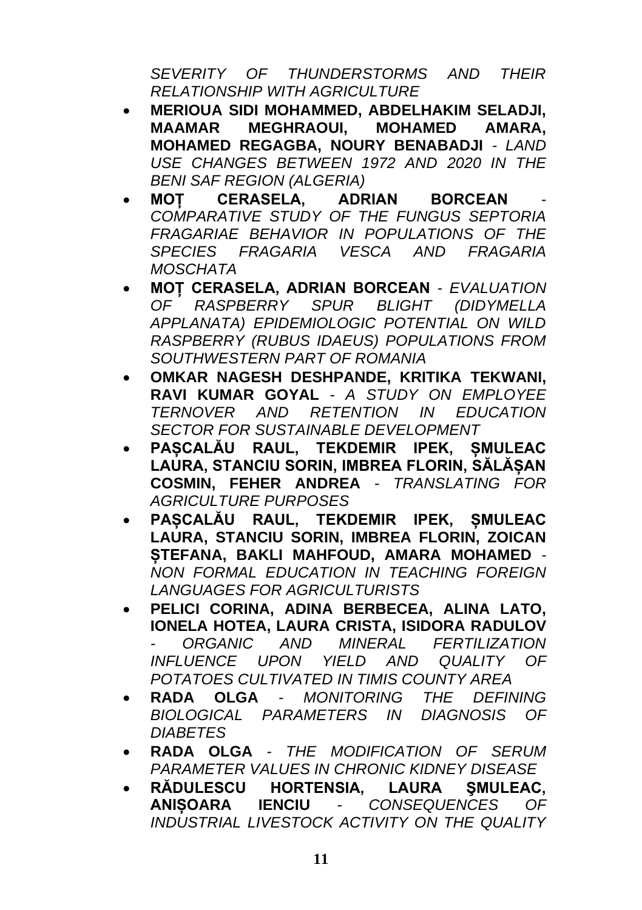*SEVERITY OF THUNDERSTORMS AND THEIR RELATIONSHIP WITH AGRICULTURE*

- **MERIOUA SIDI MOHAMMED, ABDELHAKIM SELADJI, MAAMAR MEGHRAOUI, MOHAMED AMARA, MOHAMED REGAGBA, NOURY BENABADJI** *- LAND USE CHANGES BETWEEN 1972 AND 2020 IN THE BENI SAF REGION (ALGERIA)*
- **MOȚ CERASELA, ADRIAN BORCEAN** *- COMPARATIVE STUDY OF THE FUNGUS SEPTORIA FRAGARIAE BEHAVIOR IN POPULATIONS OF THE SPECIES FRAGARIA VESCA AND FRAGARIA MOSCHATA*
- **MOȚ CERASELA, ADRIAN BORCEAN** *- EVALUATION OF RASPBERRY SPUR BLIGHT (DIDYMELLA APPLANATA) EPIDEMIOLOGIC POTENTIAL ON WILD RASPBERRY (RUBUS IDAEUS) POPULATIONS FROM SOUTHWESTERN PART OF ROMANIA*
- **OMKAR NAGESH DESHPANDE, KRITIKA TEKWANI, RAVI KUMAR GOYAL** *- A STUDY ON EMPLOYEE TERNOVER AND RETENTION IN EDUCATION SECTOR FOR SUSTAINABLE DEVELOPMENT*
- **PAȘCALĂU RAUL, TEKDEMIR IPEK, ȘMULEAC LAURA, STANCIU SORIN, IMBREA FLORIN, SĂLĂȘAN COSMIN, FEHER ANDREA** *- TRANSLATING FOR AGRICULTURE PURPOSES*
- **PAȘCALĂU RAUL, TEKDEMIR IPEK, ȘMULEAC LAURA, STANCIU SORIN, IMBREA FLORIN, ZOICAN ȘTEFANA, BAKLI MAHFOUD, AMARA MOHAMED** *- NON FORMAL EDUCATION IN TEACHING FOREIGN LANGUAGES FOR AGRICULTURISTS*
- **PELICI CORINA, ADINA BERBECEA, ALINA LATO, IONELA HOTEA, LAURA CRISTA, ISIDORA RADULOV** *- ORGANIC AND MINERAL FERTILIZATION INFLUENCE UPON YIELD AND QUALITY OF POTATOES CULTIVATED IN TIMIS COUNTY AREA*
- **RADA OLGA** *- MONITORING THE DEFINING BIOLOGICAL PARAMETERS IN DIAGNOSIS OF DIABETES*
- **RADA OLGA** *- THE MODIFICATION OF SERUM PARAMETER VALUES IN CHRONIC KIDNEY DISEASE*
- **RĂDULESCU HORTENSIA, LAURA ŞMULEAC, ANIȘOARA IENCIU** *- CONSEQUENCES OF INDUSTRIAL LIVESTOCK ACTIVITY ON THE QUALITY*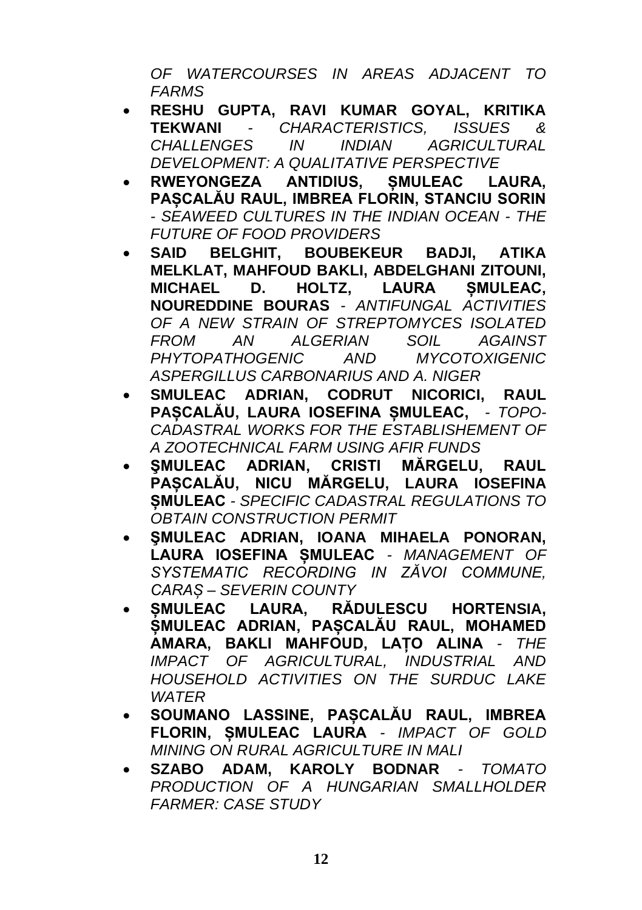*OF WATERCOURSES IN AREAS ADJACENT TO FARMS*

- **RESHU GUPTA, RAVI KUMAR GOYAL, KRITIKA TEKWANI** *- CHARACTERISTICS, ISSUES & CHALLENGES IN INDIAN AGRICULTURAL DEVELOPMENT: A QUALITATIVE PERSPECTIVE*
- **RWEYONGEZA ANTIDIUS, ȘMULEAC LAURA, PAȘCALĂU RAUL, IMBREA FLORIN, STANCIU SORIN** *- SEAWEED CULTURES IN THE INDIAN OCEAN - THE FUTURE OF FOOD PROVIDERS*
- **SAID BELGHIT, BOUBEKEUR BADJI, ATIKA MELKLAT, MAHFOUD BAKLI, ABDELGHANI ZITOUNI, MICHAEL D. HOLTZ, LAURA ȘMULEAC, NOUREDDINE BOURAS** *- ANTIFUNGAL ACTIVITIES OF A NEW STRAIN OF STREPTOMYCES ISOLATED FROM AN ALGERIAN SOIL AGAINST PHYTOPATHOGENIC AND MYCOTOXIGENIC ASPERGILLUS CARBONARIUS AND A. NIGER*
- **SMULEAC ADRIAN, CODRUT NICORICI, RAUL PAȘCALĂU, LAURA IOSEFINA ȘMULEAC,** *- TOPO-CADASTRAL WORKS FOR THE ESTABLISHEMENT OF A ZOOTECHNICAL FARM USING AFIR FUNDS*
- **ŞMULEAC ADRIAN, CRISTI MĂRGELU, RAUL PAȘCALĂU, NICU MĂRGELU, LAURA IOSEFINA ȘMULEAC** *- SPECIFIC CADASTRAL REGULATIONS TO OBTAIN CONSTRUCTION PERMIT*
- **ŞMULEAC ADRIAN, IOANA MIHAELA PONORAN, LAURA IOSEFINA ȘMULEAC** *- MANAGEMENT OF SYSTEMATIC RECORDING IN ZĂVOI COMMUNE, CARAȘ – SEVERIN COUNTY*
- **ȘMULEAC LAURA, RĂDULESCU HORTENSIA, ȘMULEAC ADRIAN, PAȘCALĂU RAUL, MOHAMED AMARA, BAKLI MAHFOUD, LAȚO ALINA** *- THE IMPACT OF AGRICULTURAL, INDUSTRIAL AND HOUSEHOLD ACTIVITIES ON THE SURDUC LAKE WATER*
- **SOUMANO LASSINE, PAȘCALĂU RAUL, IMBREA FLORIN, ȘMULEAC LAURA** *- IMPACT OF GOLD MINING ON RURAL AGRICULTURE IN MALI*
- **SZABO ADAM, KAROLY BODNAR** *- TOMATO PRODUCTION OF A HUNGARIAN SMALLHOLDER FARMER: CASE STUDY*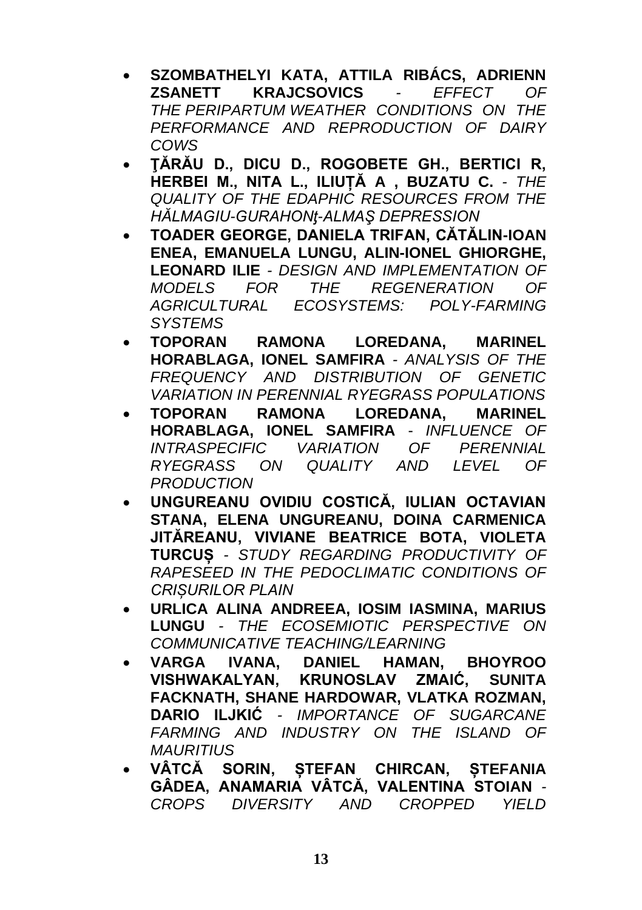- **SZOMBATHELYI KATA, ATTILA RIBÁCS, ADRIENN ZSANETT KRAJCSOVICS** *- EFFECT OF THE PERIPARTUM WEATHER CONDITIONS ON THE PERFORMANCE AND REPRODUCTION OF DAIRY COWS*
- **ŢĂRĂU D., DICU D., ROGOBETE GH., BERTICI R, HERBEI M., NITA L., ILIUȚĂ A , BUZATU C.** *- THE QUALITY OF THE EDAPHIC RESOURCES FROM THE HĂLMAGIU-GURAHONƫ-ALMAŞ DEPRESSION*
- **TOADER GEORGE, DANIELA TRIFAN, CĂTĂLIN-IOAN ENEA, EMANUELA LUNGU, ALIN-IONEL GHIORGHE, LEONARD ILIE** *- DESIGN AND IMPLEMENTATION OF MODELS FOR THE REGENERATION OF AGRICULTURAL ECOSYSTEMS: POLY-FARMING SYSTEMS*
- **TOPORAN RAMONA LOREDANA, MARINEL HORABLAGA, IONEL SAMFIRA** *- ANALYSIS OF THE FREQUENCY AND DISTRIBUTION OF GENETIC VARIATION IN PERENNIAL RYEGRASS POPULATIONS*
- **TOPORAN RAMONA LOREDANA, MARINEL HORABLAGA, IONEL SAMFIRA** - *INFLUENCE OF INTRASPECIFIC VARIATION OF PERENNIAL RYEGRASS ON QUALITY AND LEVEL OF PRODUCTION*
- **UNGUREANU OVIDIU COSTICĂ, IULIAN OCTAVIAN STANA, ELENA UNGUREANU, DOINA CARMENICA JITĂREANU, VIVIANE BEATRICE BOTA, VIOLETA TURCUȘ** *- STUDY REGARDING PRODUCTIVITY OF RAPESEED IN THE PEDOCLIMATIC CONDITIONS OF CRIȘURILOR PLAIN*
- **URLICA ALINA ANDREEA, IOSIM IASMINA, MARIUS LUNGU** *- THE ECOSEMIOTIC PERSPECTIVE ON COMMUNICATIVE TEACHING/LEARNING*
- **VARGA IVANA, DANIEL HAMAN, BHOYROO VISHWAKALYAN, KRUNOSLAV ZMAIĆ, SUNITA FACKNATH, SHANE HARDOWAR, VLATKA ROZMAN, DARIO ILJKIĆ** *- IMPORTANCE OF SUGARCANE FARMING AND INDUSTRY ON THE ISLAND OF MAURITIUS*
- **VÂTCĂ SORIN, ȘTEFAN CHIRCAN, ȘTEFANIA GÂDEA, ANAMARIA VÂTCĂ, VALENTINA STOIAN** *- CROPS DIVERSITY AND CROPPED YIELD*